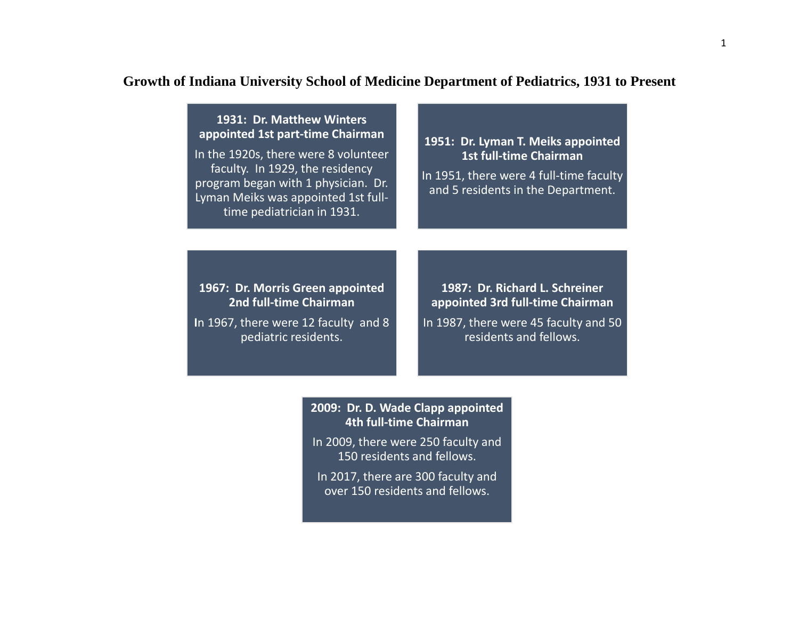# **Growth of Indiana University School of Medicine Department of Pediatrics, 1931 to Present**

## **1931: Dr. Matthew Winters appointed 1st part-time Chairman**

In the 1920s, there were 8 volunteer faculty. In 1929, the residency program began with 1 physician. Dr. Lyman Meiks was appointed 1st fulltime pediatrician in 1931.

#### **1951: Dr. Lyman T. Meiks appointed 1st full-time Chairman**

In 1951, there were 4 full-time faculty and 5 residents in the Department.

### **1967: Dr. Morris Green appointed 2nd full-time Chairman**

**I**n 1967, there were 12 faculty and 8 pediatric residents.

**1987: Dr. Richard L. Schreiner appointed 3rd full-time Chairman**

In 1987, there were 45 faculty and 50 residents and fellows.

#### **2009: Dr. D. Wade Clapp appointed 4th full-time Chairman**

In 2009, there were 250 faculty and 150 residents and fellows.

In 2017, there are 300 faculty and over 150 residents and fellows.